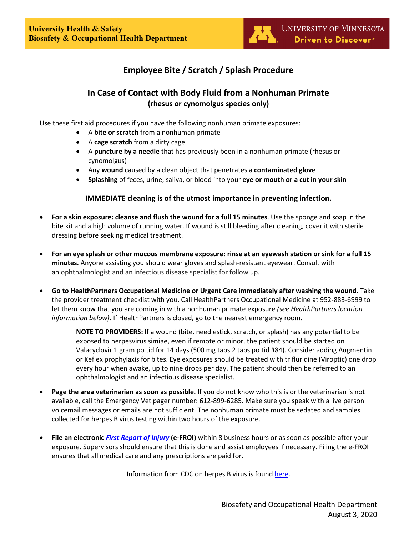# **Employee Bite / Scratch / Splash Procedure**

## **In Case of Contact with Body Fluid from a Nonhuman Primate (rhesus or cynomolgus species only)**

Use these first aid procedures if you have the following nonhuman primate exposures:

- A **bite or scratch** from a nonhuman primate
- A **cage scratch** from a dirty cage
- A **puncture by a needle** that has previously been in a nonhuman primate (rhesus or cynomolgus)
- Any **wound** caused by a clean object that penetrates a **contaminated glove**
- **Splashing** of feces, urine, saliva, or blood into your **eye or mouth or a cut in your skin**

### **IMMEDIATE cleaning is of the utmost importance in preventing infection.**

- **For a skin exposure: cleanse and flush the wound for a full 15 minutes**. Use the sponge and soap in the bite kit and a high volume of running water. If wound is still bleeding after cleaning, cover it with sterile dressing before seeking medical treatment.
- **For an eye splash or other mucous membrane exposure: rinse at an eyewash station or sink for a full 15 minutes.** Anyone assisting you should wear gloves and splash-resistant eyewear. Consult with an ophthalmologist and an infectious disease specialist for follow up.
- **Go to HealthPartners Occupational Medicine or Urgent Care immediately after washing the wound**. Take the provider treatment checklist with you. Call HealthPartners Occupational Medicine at 952-883-6999 to let them know that you are coming in with a nonhuman primate exposure *(see HealthPartners location information below).* If HealthPartners is closed, go to the nearest emergency room.

**NOTE TO PROVIDERS:** If a wound (bite, needlestick, scratch, or splash) has any potential to be exposed to herpesvirus simiae, even if remote or minor, the patient should be started on Valacyclovir 1 gram po tid for 14 days (500 mg tabs 2 tabs po tid #84). Consider adding Augmentin or Keflex prophylaxis for bites. Eye exposures should be treated with trifluridine (Viroptic) one drop every hour when awake, up to nine drops per day. The patient should then be referred to an ophthalmologist and an infectious disease specialist.

- **Page the area veterinarian as soon as possible.** If you do not know who this is or the veterinarian is not available, call the Emergency Vet pager number: 612-899-6285. Make sure you speak with a live person voicemail messages or emails are not sufficient. The nonhuman primate must be sedated and samples collected for herpes B virus testing within two hours of the exposure.
- **File an electronic** *[First Report of Injury](http://controller.umn.edu/riskmgmt/index.html.)* **(e-FROI)** within 8 business hours or as soon as possible after your exposure. Supervisors should ensure that this is done and assist employees if necessary. Filing the e-FROI ensures that all medical care and any prescriptions are paid for.

Information from CDC on herpes B virus is found [here.](http://www.cdc.gov/herpesbvirus/index.html)